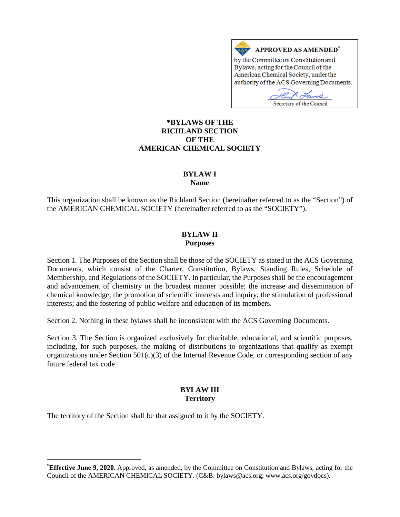

### **[\\*](#page-0-0)BYLAWS OF THE RICHLAND SECTION OF THE AMERICAN CHEMICAL SOCIETY**

#### **BYLAW I Name**

This organization shall be known as the Richland Section (hereinafter referred to as the "Section") of the AMERICAN CHEMICAL SOCIETY (hereinafter referred to as the "SOCIETY").

#### **BYLAW II Purposes**

Section 1. The Purposes of the Section shall be those of the SOCIETY as stated in the ACS Governing Documents, which consist of the Charter, Constitution, Bylaws, Standing Rules, Schedule of Membership, and Regulations of the SOCIETY. In particular, the Purposes shall be the encouragement and advancement of chemistry in the broadest manner possible; the increase and dissemination of chemical knowledge; the promotion of scientific interests and inquiry; the stimulation of professional interests; and the fostering of public welfare and education of its members.

Section 2. Nothing in these bylaws shall be inconsistent with the ACS Governing Documents.

Section 3. The Section is organized exclusively for charitable, educational, and scientific purposes, including, for such purposes, the making of distributions to organizations that qualify as exempt organizations under Section 501(c)(3) of the Internal Revenue Code, or corresponding section of any future federal tax code.

## **BYLAW III Territory**

The territory of the Section shall be that assigned to it by the SOCIETY.

 $\overline{a}$ 

<span id="page-0-0"></span>**<sup>\*</sup> Effective June 9, 2020.** Approved, as amended, by the Committee on Constitution and Bylaws, acting for the Council of the AMERICAN CHEMICAL SOCIETY. (C&B: bylaws@acs.org; www.acs.org/govdocs).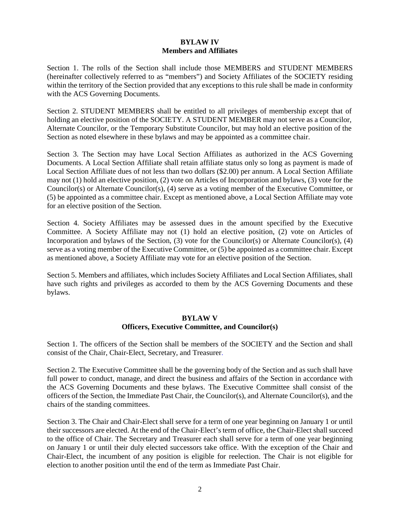### **BYLAW IV Members and Affiliates**

Section 1. The rolls of the Section shall include those MEMBERS and STUDENT MEMBERS (hereinafter collectively referred to as "members") and Society Affiliates of the SOCIETY residing within the territory of the Section provided that any exceptions to this rule shall be made in conformity with the ACS Governing Documents.

Section 2. STUDENT MEMBERS shall be entitled to all privileges of membership except that of holding an elective position of the SOCIETY. A STUDENT MEMBER may not serve as a Councilor, Alternate Councilor, or the Temporary Substitute Councilor, but may hold an elective position of the Section as noted elsewhere in these bylaws and may be appointed as a committee chair.

Section 3. The Section may have Local Section Affiliates as authorized in the ACS Governing Documents. A Local Section Affiliate shall retain affiliate status only so long as payment is made of Local Section Affiliate dues of not less than two dollars (\$2.00) per annum. A Local Section Affiliate may not (1) hold an elective position, (2) vote on Articles of Incorporation and bylaws, (3) vote for the Councilor(s) or Alternate Councilor(s), (4) serve as a voting member of the Executive Committee, or (5) be appointed as a committee chair. Except as mentioned above, a Local Section Affiliate may vote for an elective position of the Section.

Section 4. Society Affiliates may be assessed dues in the amount specified by the Executive Committee. A Society Affiliate may not (1) hold an elective position, (2) vote on Articles of Incorporation and bylaws of the Section, (3) vote for the Councilor(s) or Alternate Councilor(s), (4) serve as a voting member of the Executive Committee, or (5) be appointed as a committee chair. Except as mentioned above, a Society Affiliate may vote for an elective position of the Section.

Section 5. Members and affiliates, which includes Society Affiliates and Local Section Affiliates, shall have such rights and privileges as accorded to them by the ACS Governing Documents and these bylaws.

#### **BYLAW V Officers, Executive Committee, and Councilor(s)**

Section 1. The officers of the Section shall be members of the SOCIETY and the Section and shall consist of the Chair, Chair-Elect, Secretary, and Treasurer.

Section 2. The Executive Committee shall be the governing body of the Section and as such shall have full power to conduct, manage, and direct the business and affairs of the Section in accordance with the ACS Governing Documents and these bylaws. The Executive Committee shall consist of the officers of the Section, the Immediate Past Chair, the Councilor(s), and Alternate Councilor(s), and the chairs of the standing committees.

Section 3. The Chair and Chair-Elect shall serve for a term of one year beginning on January 1 or until their successors are elected. At the end of the Chair-Elect's term of office, the Chair-Elect shall succeed to the office of Chair. The Secretary and Treasurer each shall serve for a term of one year beginning on January 1 or until their duly elected successors take office. With the exception of the Chair and Chair-Elect, the incumbent of any position is eligible for reelection. The Chair is not eligible for election to another position until the end of the term as Immediate Past Chair.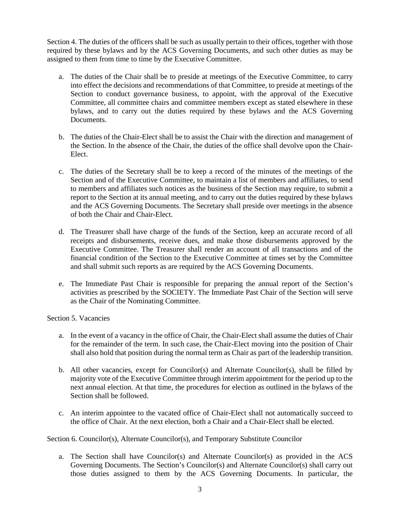Section 4. The duties of the officers shall be such as usually pertain to their offices, together with those required by these bylaws and by the ACS Governing Documents, and such other duties as may be assigned to them from time to time by the Executive Committee.

- a. The duties of the Chair shall be to preside at meetings of the Executive Committee, to carry into effect the decisions and recommendations of that Committee, to preside at meetings of the Section to conduct governance business, to appoint, with the approval of the Executive Committee, all committee chairs and committee members except as stated elsewhere in these bylaws, and to carry out the duties required by these bylaws and the ACS Governing Documents.
- b. The duties of the Chair-Elect shall be to assist the Chair with the direction and management of the Section. In the absence of the Chair, the duties of the office shall devolve upon the Chair-Elect.
- c. The duties of the Secretary shall be to keep a record of the minutes of the meetings of the Section and of the Executive Committee, to maintain a list of members and affiliates, to send to members and affiliates such notices as the business of the Section may require, to submit a report to the Section at its annual meeting, and to carry out the duties required by these bylaws and the ACS Governing Documents. The Secretary shall preside over meetings in the absence of both the Chair and Chair-Elect.
- d. The Treasurer shall have charge of the funds of the Section, keep an accurate record of all receipts and disbursements, receive dues, and make those disbursements approved by the Executive Committee. The Treasurer shall render an account of all transactions and of the financial condition of the Section to the Executive Committee at times set by the Committee and shall submit such reports as are required by the ACS Governing Documents.
- e. The Immediate Past Chair is responsible for preparing the annual report of the Section's activities as prescribed by the SOCIETY. The Immediate Past Chair of the Section will serve as the Chair of the Nominating Committee.

### Section 5. Vacancies

- a. In the event of a vacancy in the office of Chair, the Chair-Elect shall assume the duties of Chair for the remainder of the term. In such case, the Chair-Elect moving into the position of Chair shall also hold that position during the normal term as Chair as part of the leadership transition.
- b. All other vacancies, except for Councilor(s) and Alternate Councilor(s), shall be filled by majority vote of the Executive Committee through interim appointment for the period up to the next annual election. At that time, the procedures for election as outlined in the bylaws of the Section shall be followed.
- c. An interim appointee to the vacated office of Chair-Elect shall not automatically succeed to the office of Chair. At the next election, both a Chair and a Chair-Elect shall be elected.

Section 6. Councilor(s), Alternate Councilor(s), and Temporary Substitute Councilor

a. The Section shall have Councilor(s) and Alternate Councilor(s) as provided in the ACS Governing Documents. The Section's Councilor(s) and Alternate Councilor(s) shall carry out those duties assigned to them by the ACS Governing Documents. In particular, the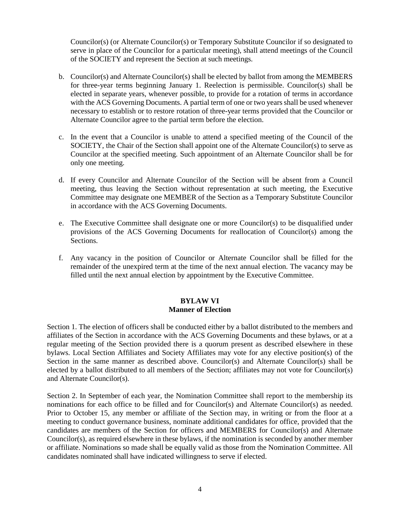Councilor(s) (or Alternate Councilor(s) or Temporary Substitute Councilor if so designated to serve in place of the Councilor for a particular meeting), shall attend meetings of the Council of the SOCIETY and represent the Section at such meetings.

- b. Councilor(s) and Alternate Councilor(s) shall be elected by ballot from among the MEMBERS for three-year terms beginning January 1. Reelection is permissible. Councilor(s) shall be elected in separate years, whenever possible, to provide for a rotation of terms in accordance with the ACS Governing Documents. A partial term of one or two years shall be used whenever necessary to establish or to restore rotation of three-year terms provided that the Councilor or Alternate Councilor agree to the partial term before the election.
- c. In the event that a Councilor is unable to attend a specified meeting of the Council of the SOCIETY, the Chair of the Section shall appoint one of the Alternate Councilor(s) to serve as Councilor at the specified meeting. Such appointment of an Alternate Councilor shall be for only one meeting.
- d. If every Councilor and Alternate Councilor of the Section will be absent from a Council meeting, thus leaving the Section without representation at such meeting, the Executive Committee may designate one MEMBER of the Section as a Temporary Substitute Councilor in accordance with the ACS Governing Documents.
- e. The Executive Committee shall designate one or more Councilor(s) to be disqualified under provisions of the ACS Governing Documents for reallocation of Councilor(s) among the Sections.
- f. Any vacancy in the position of Councilor or Alternate Councilor shall be filled for the remainder of the unexpired term at the time of the next annual election. The vacancy may be filled until the next annual election by appointment by the Executive Committee.

### **BYLAW VI Manner of Election**

Section 1. The election of officers shall be conducted either by a ballot distributed to the members and affiliates of the Section in accordance with the ACS Governing Documents and these bylaws, or at a regular meeting of the Section provided there is a quorum present as described elsewhere in these bylaws. Local Section Affiliates and Society Affiliates may vote for any elective position(s) of the Section in the same manner as described above. Councilor(s) and Alternate Councilor(s) shall be elected by a ballot distributed to all members of the Section; affiliates may not vote for Councilor(s) and Alternate Councilor(s).

Section 2. In September of each year, the Nomination Committee shall report to the membership its nominations for each office to be filled and for Councilor(s) and Alternate Councilor(s) as needed. Prior to October 15, any member or affiliate of the Section may, in writing or from the floor at a meeting to conduct governance business, nominate additional candidates for office, provided that the candidates are members of the Section for officers and MEMBERS for Councilor(s) and Alternate Councilor(s), as required elsewhere in these bylaws, if the nomination is seconded by another member or affiliate. Nominations so made shall be equally valid as those from the Nomination Committee. All candidates nominated shall have indicated willingness to serve if elected.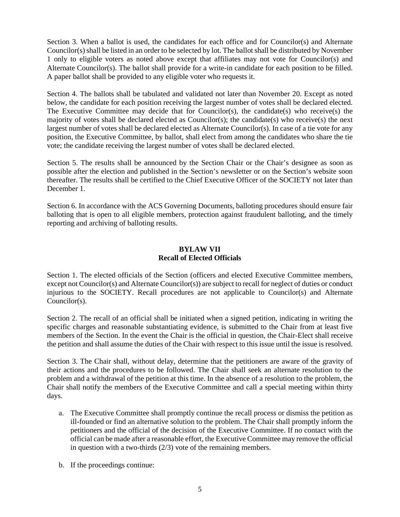Section 3. When a ballot is used, the candidates for each office and for Councilor(s) and Alternate Councilor(s) shall be listed in an order to be selected by lot. The ballot shall be distributed by November 1 only to eligible voters as noted above except that affiliates may not vote for Councilor(s) and Alternate Councilor(s). The ballot shall provide for a write-in candidate for each position to be filled. A paper ballot shall be provided to any eligible voter who requests it.

Section 4. The ballots shall be tabulated and validated not later than November 20. Except as noted below, the candidate for each position receiving the largest number of votes shall be declared elected. The Executive Committee may decide that for Councilor(s), the candidate(s) who receive(s) the majority of votes shall be declared elected as Councilor(s); the candidate(s) who receive(s) the next largest number of votes shall be declared elected as Alternate Councilor(s). In case of a tie vote for any position, the Executive Committee, by ballot, shall elect from among the candidates who share the tie vote; the candidate receiving the largest number of votes shall be declared elected.

Section 5. The results shall be announced by the Section Chair or the Chair's designee as soon as possible after the election and published in the Section's newsletter or on the Section's website soon thereafter. The results shall be certified to the Chief Executive Officer of the SOCIETY not later than December 1.

Section 6. In accordance with the ACS Governing Documents, balloting procedures should ensure fair balloting that is open to all eligible members, protection against fraudulent balloting, and the timely reporting and archiving of balloting results.

## **BYLAW VII Recall of Elected Officials**

Section 1. The elected officials of the Section (officers and elected Executive Committee members, except not Councilor(s) and Alternate Councilor(s)) are subject to recall for neglect of duties or conduct injurious to the SOCIETY. Recall procedures are not applicable to Councilor(s) and Alternate Councilor(s).

Section 2. The recall of an official shall be initiated when a signed petition, indicating in writing the specific charges and reasonable substantiating evidence, is submitted to the Chair from at least five members of the Section. In the event the Chair is the official in question, the Chair-Elect shall receive the petition and shall assume the duties of the Chair with respect to this issue until the issue is resolved.

Section 3. The Chair shall, without delay, determine that the petitioners are aware of the gravity of their actions and the procedures to be followed. The Chair shall seek an alternate resolution to the problem and a withdrawal of the petition at this time. In the absence of a resolution to the problem, the Chair shall notify the members of the Executive Committee and call a special meeting within thirty days.

- a. The Executive Committee shall promptly continue the recall process or dismiss the petition as ill-founded or find an alternative solution to the problem. The Chair shall promptly inform the petitioners and the official of the decision of the Executive Committee. If no contact with the official can be made after a reasonable effort, the Executive Committee may remove the official in question with a two-thirds (2/3) vote of the remaining members.
- b. If the proceedings continue: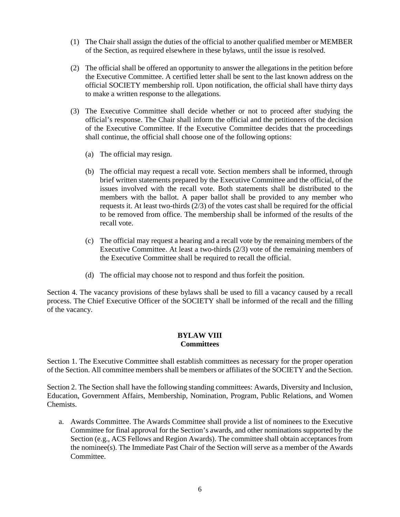- (1) The Chair shall assign the duties of the official to another qualified member or MEMBER of the Section, as required elsewhere in these bylaws, until the issue is resolved.
- (2) The official shall be offered an opportunity to answer the allegations in the petition before the Executive Committee. A certified letter shall be sent to the last known address on the official SOCIETY membership roll. Upon notification, the official shall have thirty days to make a written response to the allegations.
- (3) The Executive Committee shall decide whether or not to proceed after studying the official's response. The Chair shall inform the official and the petitioners of the decision of the Executive Committee. If the Executive Committee decides that the proceedings shall continue, the official shall choose one of the following options:
	- (a) The official may resign.
	- (b) The official may request a recall vote. Section members shall be informed, through brief written statements prepared by the Executive Committee and the official, of the issues involved with the recall vote. Both statements shall be distributed to the members with the ballot. A paper ballot shall be provided to any member who requests it. At least two-thirds (2/3) of the votes cast shall be required for the official to be removed from office. The membership shall be informed of the results of the recall vote.
	- (c) The official may request a hearing and a recall vote by the remaining members of the Executive Committee. At least a two-thirds (2/3) vote of the remaining members of the Executive Committee shall be required to recall the official.
	- (d) The official may choose not to respond and thus forfeit the position.

Section 4. The vacancy provisions of these bylaws shall be used to fill a vacancy caused by a recall process. The Chief Executive Officer of the SOCIETY shall be informed of the recall and the filling of the vacancy.

### **BYLAW VIII Committees**

Section 1. The Executive Committee shall establish committees as necessary for the proper operation of the Section. All committee members shall be members or affiliates of the SOCIETY and the Section.

Section 2. The Section shall have the following standing committees: Awards, Diversity and Inclusion, Education, Government Affairs, Membership, Nomination, Program, Public Relations, and Women Chemists.

a. Awards Committee. The Awards Committee shall provide a list of nominees to the Executive Committee for final approval for the Section's awards, and other nominations supported by the Section (e.g., ACS Fellows and Region Awards). The committee shall obtain acceptances from the nominee(s). The Immediate Past Chair of the Section will serve as a member of the Awards Committee.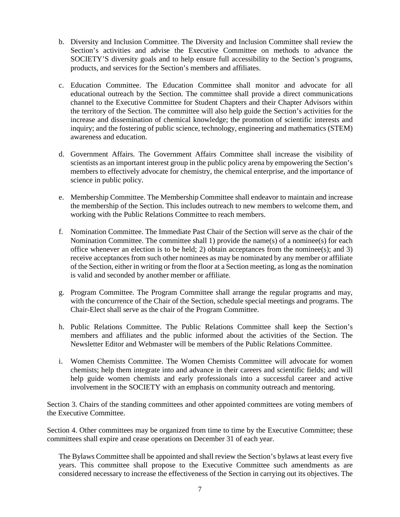- b. Diversity and Inclusion Committee. The Diversity and Inclusion Committee shall review the Section's activities and advise the Executive Committee on methods to advance the SOCIETY'S diversity goals and to help ensure full accessibility to the Section's programs, products, and services for the Section's members and affiliates.
- c. Education Committee. The Education Committee shall monitor and advocate for all educational outreach by the Section. The committee shall provide a direct communications channel to the Executive Committee for Student Chapters and their Chapter Advisors within the territory of the Section. The committee will also help guide the Section's activities for the increase and dissemination of chemical knowledge; the promotion of scientific interests and inquiry; and the fostering of public science, technology, engineering and mathematics (STEM) awareness and education.
- d. Government Affairs. The Government Affairs Committee shall increase the visibility of scientists as an important interest group in the public policy arena by empowering the Section's members to effectively advocate for chemistry, the chemical enterprise, and the importance of science in public policy.
- e. Membership Committee. The Membership Committee shall endeavor to maintain and increase the membership of the Section. This includes outreach to new members to welcome them, and working with the Public Relations Committee to reach members.
- f. Nomination Committee. The Immediate Past Chair of the Section will serve as the chair of the Nomination Committee. The committee shall 1) provide the name(s) of a nominee(s) for each office whenever an election is to be held; 2) obtain acceptances from the nominee(s); and 3) receive acceptances from such other nominees as may be nominated by any member or affiliate of the Section, either in writing or from the floor at a Section meeting, as long as the nomination is valid and seconded by another member or affiliate.
- g. Program Committee. The Program Committee shall arrange the regular programs and may, with the concurrence of the Chair of the Section, schedule special meetings and programs. The Chair-Elect shall serve as the chair of the Program Committee.
- h. Public Relations Committee. The Public Relations Committee shall keep the Section's members and affiliates and the public informed about the activities of the Section. The Newsletter Editor and Webmaster will be members of the Public Relations Committee.
- i. Women Chemists Committee. The Women Chemists Committee will advocate for women chemists; help them integrate into and advance in their careers and scientific fields; and will help guide women chemists and early professionals into a successful career and active involvement in the SOCIETY with an emphasis on community outreach and mentoring.

Section 3. Chairs of the standing committees and other appointed committees are voting members of the Executive Committee.

Section 4. Other committees may be organized from time to time by the Executive Committee; these committees shall expire and cease operations on December 31 of each year.

The Bylaws Committee shall be appointed and shall review the Section's bylaws at least every five years. This committee shall propose to the Executive Committee such amendments as are considered necessary to increase the effectiveness of the Section in carrying out its objectives. The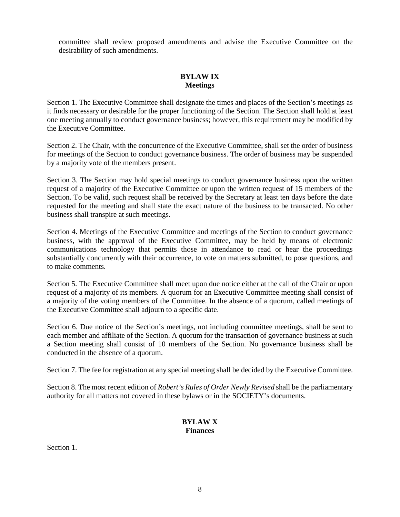committee shall review proposed amendments and advise the Executive Committee on the desirability of such amendments.

# **BYLAW IX Meetings**

Section 1. The Executive Committee shall designate the times and places of the Section's meetings as it finds necessary or desirable for the proper functioning of the Section. The Section shall hold at least one meeting annually to conduct governance business; however, this requirement may be modified by the Executive Committee.

Section 2. The Chair, with the concurrence of the Executive Committee, shall set the order of business for meetings of the Section to conduct governance business. The order of business may be suspended by a majority vote of the members present.

Section 3. The Section may hold special meetings to conduct governance business upon the written request of a majority of the Executive Committee or upon the written request of 15 members of the Section. To be valid, such request shall be received by the Secretary at least ten days before the date requested for the meeting and shall state the exact nature of the business to be transacted. No other business shall transpire at such meetings.

Section 4. Meetings of the Executive Committee and meetings of the Section to conduct governance business, with the approval of the Executive Committee, may be held by means of electronic communications technology that permits those in attendance to read or hear the proceedings substantially concurrently with their occurrence, to vote on matters submitted, to pose questions, and to make comments.

Section 5. The Executive Committee shall meet upon due notice either at the call of the Chair or upon request of a majority of its members. A quorum for an Executive Committee meeting shall consist of a majority of the voting members of the Committee. In the absence of a quorum, called meetings of the Executive Committee shall adjourn to a specific date.

Section 6. Due notice of the Section's meetings, not including committee meetings, shall be sent to each member and affiliate of the Section. A quorum for the transaction of governance business at such a Section meeting shall consist of 10 members of the Section. No governance business shall be conducted in the absence of a quorum.

Section 7. The fee for registration at any special meeting shall be decided by the Executive Committee.

Section 8. The most recent edition of *Robert's Rules of Order Newly Revised* shall be the parliamentary authority for all matters not covered in these bylaws or in the SOCIETY's documents.

## **BYLAW X Finances**

Section 1.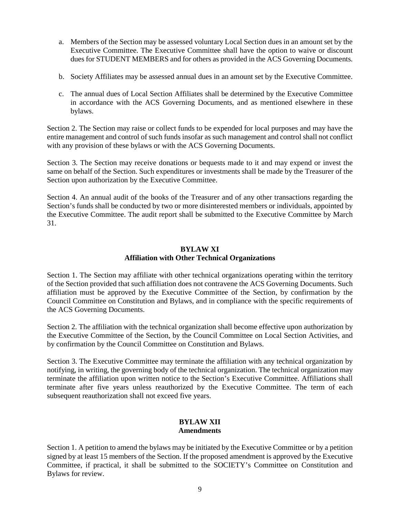- a. Members of the Section may be assessed voluntary Local Section dues in an amount set by the Executive Committee. The Executive Committee shall have the option to waive or discount dues for STUDENT MEMBERS and for others as provided in the ACS Governing Documents.
- b. Society Affiliates may be assessed annual dues in an amount set by the Executive Committee.
- c. The annual dues of Local Section Affiliates shall be determined by the Executive Committee in accordance with the ACS Governing Documents, and as mentioned elsewhere in these bylaws.

Section 2. The Section may raise or collect funds to be expended for local purposes and may have the entire management and control of such funds insofar as such management and control shall not conflict with any provision of these bylaws or with the ACS Governing Documents.

Section 3. The Section may receive donations or bequests made to it and may expend or invest the same on behalf of the Section. Such expenditures or investments shall be made by the Treasurer of the Section upon authorization by the Executive Committee.

Section 4. An annual audit of the books of the Treasurer and of any other transactions regarding the Section's funds shall be conducted by two or more disinterested members or individuals, appointed by the Executive Committee. The audit report shall be submitted to the Executive Committee by March 31.

### **BYLAW XI Affiliation with Other Technical Organizations**

Section 1. The Section may affiliate with other technical organizations operating within the territory of the Section provided that such affiliation does not contravene the ACS Governing Documents. Such affiliation must be approved by the Executive Committee of the Section, by confirmation by the Council Committee on Constitution and Bylaws, and in compliance with the specific requirements of the ACS Governing Documents.

Section 2. The affiliation with the technical organization shall become effective upon authorization by the Executive Committee of the Section, by the Council Committee on Local Section Activities, and by confirmation by the Council Committee on Constitution and Bylaws.

Section 3. The Executive Committee may terminate the affiliation with any technical organization by notifying, in writing, the governing body of the technical organization. The technical organization may terminate the affiliation upon written notice to the Section's Executive Committee. Affiliations shall terminate after five years unless reauthorized by the Executive Committee. The term of each subsequent reauthorization shall not exceed five years.

### **BYLAW XII Amendments**

Section 1. A petition to amend the bylaws may be initiated by the Executive Committee or by a petition signed by at least 15 members of the Section. If the proposed amendment is approved by the Executive Committee, if practical, it shall be submitted to the SOCIETY's Committee on Constitution and Bylaws for review.